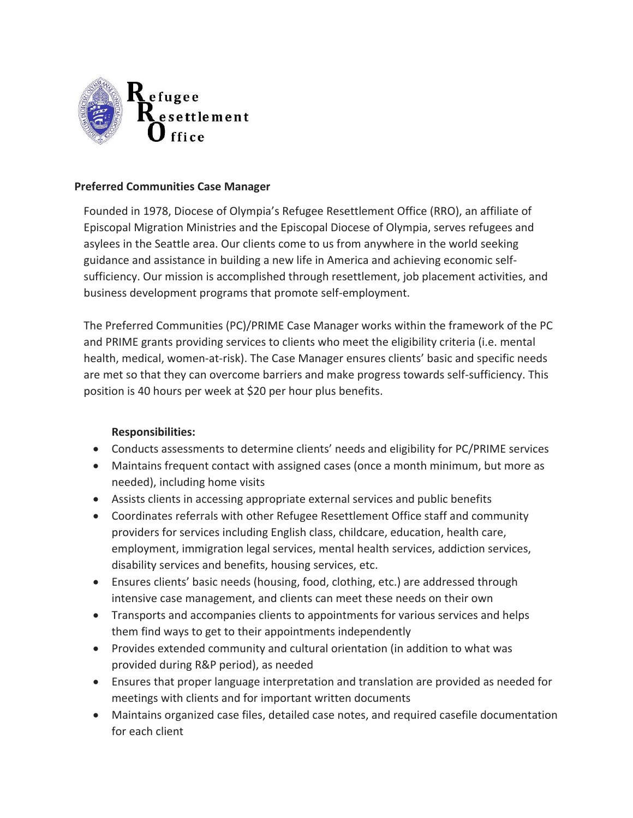

## **Preferred Communities Case Manager**

Founded in 1978, Diocese of Olympia's Refugee Resettlement Office (RRO), an affiliate of Episcopal Migration Ministries and the Episcopal Diocese of Olympia, serves refugees and asylees in the Seattle area. Our clients come to us from anywhere in the world seeking guidance and assistance in building a new life in America and achieving economic selfsufficiency. Our mission is accomplished through resettlement, job placement activities, and business development programs that promote self-employment.

The Preferred Communities (PC)/PRIME Case Manager works within the framework of the PC and PRIME grants providing services to clients who meet the eligibility criteria (i.e. mental health, medical, women-at-risk). The Case Manager ensures clients' basic and specific needs are met so that they can overcome barriers and make progress towards self-sufficiency. This position is 40 hours per week at \$20 per hour plus benefits.

## **Responsibilities:**

- Conducts assessments to determine clients' needs and eligibility for PC/PRIME services
- Maintains frequent contact with assigned cases (once a month minimum, but more as needed), including home visits
- Assists clients in accessing appropriate external services and public benefits
- Coordinates referrals with other Refugee Resettlement Office staff and community providers for services including English class, childcare, education, health care, employment, immigration legal services, mental health services, addiction services, disability services and benefits, housing services, etc.
- Ensures clients' basic needs (housing, food, clothing, etc.) are addressed through intensive case management, and clients can meet these needs on their own
- Transports and accompanies clients to appointments for various services and helps them find ways to get to their appointments independently
- Provides extended community and cultural orientation (in addition to what was provided during R&P period), as needed
- Ensures that proper language interpretation and translation are provided as needed for meetings with clients and for important written documents
- Maintains organized case files, detailed case notes, and required casefile documentation for each client